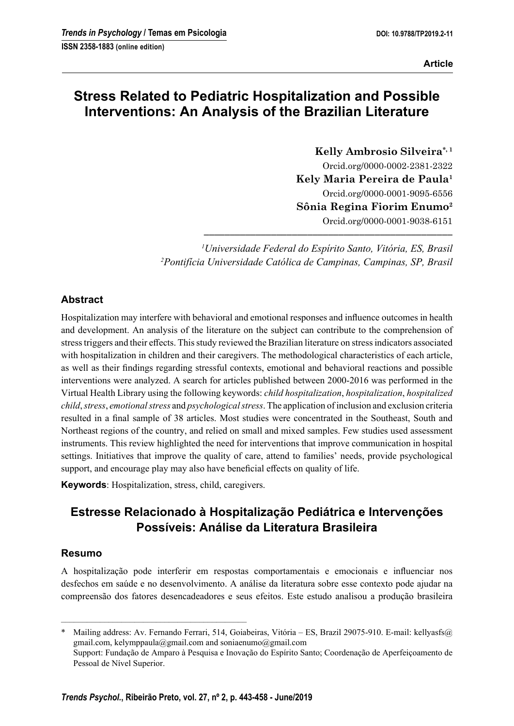# **Stress Related to Pediatric Hospitalization and Possible Interventions: An Analysis of the Brazilian Literature**

**Kelly Ambrosio Silveira\*, 1** Orcid.org/0000-0002-2381-2322 **Kely Maria Pereira de Paula1** Orcid.org/0000-0001-9095-6556 **Sônia Regina Fiorim Enumo2** Orcid.org/0000-0001-9038-6151

*1 Universidade Federal do Espírito Santo, Vitória, ES, Brasil 2 Pontifícia Universidade Católica de Campinas, Campinas, SP, Brasil*

**––––––––––––––––––––––––––––––––––––––––––––––––**

## **Abstract**

Hospitalization may interfere with behavioral and emotional responses and influence outcomes in health and development. An analysis of the literature on the subject can contribute to the comprehension of stress triggers and their effects. This study reviewed the Brazilian literature on stress indicators associated with hospitalization in children and their caregivers. The methodological characteristics of each article, as well as their findings regarding stressful contexts, emotional and behavioral reactions and possible interventions were analyzed. A search for articles published between 2000-2016 was performed in the Virtual Health Library using the following keywords: *child hospitalization*, *hospitalization*, *hospitalized child*, *stress*, *emotional stress* and *psychological stress*. The application of inclusion and exclusion criteria resulted in a final sample of 38 articles. Most studies were concentrated in the Southeast, South and Northeast regions of the country, and relied on small and mixed samples. Few studies used assessment instruments. This review highlighted the need for interventions that improve communication in hospital settings. Initiatives that improve the quality of care, attend to families' needs, provide psychological support, and encourage play may also have beneficial effects on quality of life.

**Keywords**: Hospitalization, stress, child, caregivers.

–––––––––––––––––––––––––––––––––––––––––––

# **Estresse Relacionado à Hospitalização Pediátrica e Intervenções Possíveis: Análise da Literatura Brasileira**

### **Resumo**

A hospitalização pode interferir em respostas comportamentais e emocionais e influenciar nos desfechos em saúde e no desenvolvimento. A análise da literatura sobre esse contexto pode ajudar na compreensão dos fatores desencadeadores e seus efeitos. Este estudo analisou a produção brasileira

Mailing address: Av. Fernando Ferrari, 514, Goiabeiras, Vitória – ES, Brazil 29075-910. E-mail: kellyasfs@ gmail.com, kelymppaula@gmail.com and soniaenumo@gmail.com Support: Fundação de Amparo à Pesquisa e Inovação do Espírito Santo; Coordenação de Aperfeiçoamento de Pessoal de Nível Superior.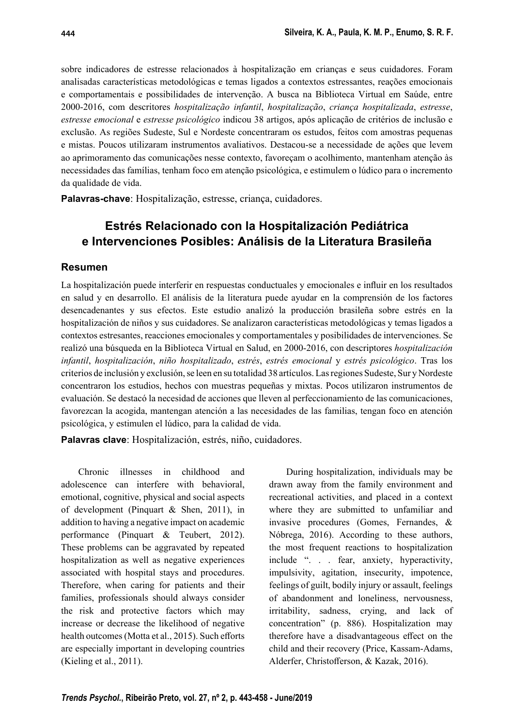sobre indicadores de estresse relacionados à hospitalização em crianças e seus cuidadores. Foram analisadas características metodológicas e temas ligados a contextos estressantes, reações emocionais e comportamentais e possibilidades de intervenção. A busca na Biblioteca Virtual em Saúde, entre 2000-2016, com descritores *hospitalização infantil*, *hospitalização*, *criança hospitalizada*, *estresse*, *estresse emocional* e *estresse psicológico* indicou 38 artigos, após aplicação de critérios de inclusão e exclusão. As regiões Sudeste, Sul e Nordeste concentraram os estudos, feitos com amostras pequenas e mistas. Poucos utilizaram instrumentos avaliativos. Destacou-se a necessidade de ações que levem ao aprimoramento das comunicações nesse contexto, favoreçam o acolhimento, mantenham atenção às necessidades das famílias, tenham foco em atenção psicológica, e estimulem o lúdico para o incremento da qualidade de vida.

**Palavras-chave**: Hospitalização, estresse, criança, cuidadores.

## **Estrés Relacionado con la Hospitalización Pediátrica e Intervenciones Posibles: Análisis de la Literatura Brasileña**

#### **Resumen**

La hospitalización puede interferir en respuestas conductuales y emocionales e influir en los resultados en salud y en desarrollo. El análisis de la literatura puede ayudar en la comprensión de los factores desencadenantes y sus efectos. Este estudio analizó la producción brasileña sobre estrés en la hospitalización de niños y sus cuidadores. Se analizaron características metodológicas y temas ligados a contextos estresantes, reacciones emocionales y comportamentales y posibilidades de intervenciones. Se realizó una búsqueda en la Biblioteca Virtual en Salud, en 2000-2016, con descriptores *hospitalización infantil*, *hospitalización*, *niño hospitalizado*, *estrés*, *estrés emocional* y *estrés psicológico*. Tras los criterios de inclusión y exclusión, se leen en su totalidad 38 artículos. Las regiones Sudeste, Sur y Nordeste concentraron los estudios, hechos con muestras pequeñas y mixtas. Pocos utilizaron instrumentos de evaluación. Se destacó la necesidad de acciones que lleven al perfeccionamiento de las comunicaciones, favorezcan la acogida, mantengan atención a las necesidades de las familias, tengan foco en atención psicológica, y estimulen el lúdico, para la calidad de vida.

**Palavras clave**: Hospitalización, estrés, niño, cuidadores.

Chronic illnesses in childhood and adolescence can interfere with behavioral, emotional, cognitive, physical and social aspects of development (Pinquart & Shen, 2011), in addition to having a negative impact on academic performance (Pinquart & Teubert, 2012). These problems can be aggravated by repeated hospitalization as well as negative experiences associated with hospital stays and procedures. Therefore, when caring for patients and their families, professionals should always consider the risk and protective factors which may increase or decrease the likelihood of negative health outcomes (Motta et al., 2015). Such efforts are especially important in developing countries (Kieling et al., 2011).

During hospitalization, individuals may be drawn away from the family environment and recreational activities, and placed in a context where they are submitted to unfamiliar and invasive procedures (Gomes, Fernandes, & Nóbrega, 2016). According to these authors, the most frequent reactions to hospitalization include ". . . fear, anxiety, hyperactivity, impulsivity, agitation, insecurity, impotence, feelings of guilt, bodily injury or assault, feelings of abandonment and loneliness, nervousness, irritability, sadness, crying, and lack of concentration" (p. 886). Hospitalization may therefore have a disadvantageous effect on the child and their recovery (Price, Kassam-Adams, Alderfer, Christofferson, & Kazak, 2016).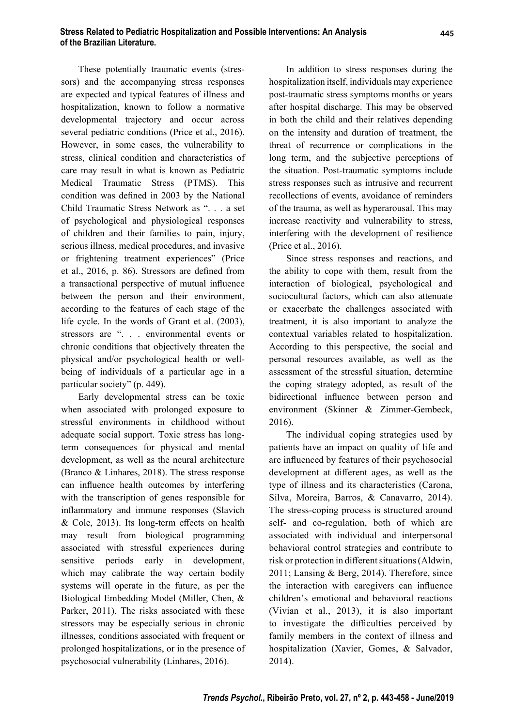These potentially traumatic events (stressors) and the accompanying stress responses are expected and typical features of illness and hospitalization, known to follow a normative developmental trajectory and occur across several pediatric conditions (Price et al., 2016). However, in some cases, the vulnerability to stress, clinical condition and characteristics of care may result in what is known as Pediatric Medical Traumatic Stress (PTMS). This condition was defined in 2003 by the National Child Traumatic Stress Network as ". . . a set of psychological and physiological responses of children and their families to pain, injury, serious illness, medical procedures, and invasive or frightening treatment experiences" (Price et al.,  $2016$ , p. 86). Stressors are defined from a transactional perspective of mutual influence between the person and their environment, according to the features of each stage of the life cycle. In the words of Grant et al. (2003), stressors are ". . . environmental events or chronic conditions that objectively threaten the physical and/or psychological health or wellbeing of individuals of a particular age in a particular society" (p. 449).

Early developmental stress can be toxic when associated with prolonged exposure to stressful environments in childhood without adequate social support. Toxic stress has longterm consequences for physical and mental development, as well as the neural architecture (Branco & Linhares, 2018). The stress response can influence health outcomes by interfering with the transcription of genes responsible for inflammatory and immune responses (Slavich  $& Cole, 2013$ ). Its long-term effects on health may result from biological programming associated with stressful experiences during sensitive periods early in development, which may calibrate the way certain bodily systems will operate in the future, as per the Biological Embedding Model (Miller, Chen, & Parker, 2011). The risks associated with these stressors may be especially serious in chronic illnesses, conditions associated with frequent or prolonged hospitalizations, or in the presence of psychosocial vulnerability (Linhares, 2016).

In addition to stress responses during the hospitalization itself, individuals may experience post-traumatic stress symptoms months or years after hospital discharge. This may be observed in both the child and their relatives depending on the intensity and duration of treatment, the threat of recurrence or complications in the long term, and the subjective perceptions of the situation. Post-traumatic symptoms include stress responses such as intrusive and recurrent recollections of events, avoidance of reminders of the trauma, as well as hyperarousal. This may increase reactivity and vulnerability to stress, interfering with the development of resilience (Price et al., 2016).

Since stress responses and reactions, and the ability to cope with them, result from the interaction of biological, psychological and sociocultural factors, which can also attenuate or exacerbate the challenges associated with treatment, it is also important to analyze the contextual variables related to hospitalization. According to this perspective, the social and personal resources available, as well as the assessment of the stressful situation, determine the coping strategy adopted, as result of the bidirectional influence between person and environment (Skinner & Zimmer-Gembeck, 2016).

The individual coping strategies used by patients have an impact on quality of life and are influenced by features of their psychosocial development at different ages, as well as the type of illness and its characteristics (Carona, Silva, Moreira, Barros, & Canavarro, 2014). The stress-coping process is structured around self- and co-regulation, both of which are associated with individual and interpersonal behavioral control strategies and contribute to risk or protection in different situations (Aldwin, 2011; Lansing & Berg, 2014). Therefore, since the interaction with caregivers can influence children's emotional and behavioral reactions (Vivian et al., 2013), it is also important to investigate the difficulties perceived by family members in the context of illness and hospitalization (Xavier, Gomes, & Salvador, 2014).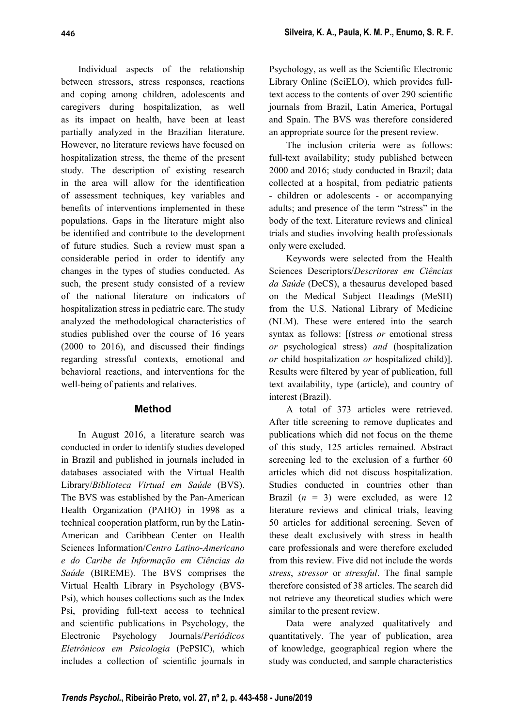Individual aspects of the relationship between stressors, stress responses, reactions and coping among children, adolescents and caregivers during hospitalization, as well as its impact on health, have been at least partially analyzed in the Brazilian literature. However, no literature reviews have focused on hospitalization stress, the theme of the present study. The description of existing research in the area will allow for the identification of assessment techniques, key variables and benefits of interventions implemented in these populations. Gaps in the literature might also be identified and contribute to the development of future studies. Such a review must span a considerable period in order to identify any changes in the types of studies conducted. As such, the present study consisted of a review of the national literature on indicators of hospitalization stress in pediatric care. The study analyzed the methodological characteristics of studies published over the course of 16 years  $(2000 \text{ to } 2016)$ , and discussed their findings regarding stressful contexts, emotional and behavioral reactions, and interventions for the well-being of patients and relatives.

## **Method**

In August 2016, a literature search was conducted in order to identify studies developed in Brazil and published in journals included in databases associated with the Virtual Health Library/*Biblioteca Virtual em Saúde* (BVS). The BVS was established by the Pan-American Health Organization (PAHO) in 1998 as a technical cooperation platform, run by the Latin-American and Caribbean Center on Health Sciences Information/*Centro Latino-Americano e do Caribe de Informação em Ciências da Saúde* (BIREME). The BVS comprises the Virtual Health Library in Psychology (BVS-Psi), which houses collections such as the Index Psi, providing full-text access to technical and scientific publications in Psychology, the Electronic Psychology Journals/*Periódicos Eletrônicos em Psicologia* (PePSIC), which includes a collection of scientific journals in

Psychology, as well as the Scientific Electronic Library Online (SciELO), which provides fulltext access to the contents of over 290 scientific journals from Brazil, Latin America, Portugal and Spain. The BVS was therefore considered an appropriate source for the present review.

The inclusion criteria were as follows: full-text availability; study published between 2000 and 2016; study conducted in Brazil; data collected at a hospital, from pediatric patients - children or adolescents - or accompanying adults; and presence of the term "stress" in the body of the text. Literature reviews and clinical trials and studies involving health professionals only were excluded.

Keywords were selected from the Health Sciences Descriptors/*Descritores em Ciências da Saúde* (DeCS), a thesaurus developed based on the Medical Subject Headings (MeSH) from the U.S. National Library of Medicine (NLM). These were entered into the search syntax as follows: [(stress *or* emotional stress *or* psychological stress) *and* (hospitalization *or* child hospitalization *or* hospitalized child)]. Results were filtered by year of publication, full text availability, type (article), and country of interest (Brazil).

A total of 373 articles were retrieved. After title screening to remove duplicates and publications which did not focus on the theme of this study, 125 articles remained. Abstract screening led to the exclusion of a further 60 articles which did not discuss hospitalization. Studies conducted in countries other than Brazil  $(n = 3)$  were excluded, as were 12 literature reviews and clinical trials, leaving 50 articles for additional screening. Seven of these dealt exclusively with stress in health care professionals and were therefore excluded from this review. Five did not include the words *stress, stressor* or *stressful*. The final sample therefore consisted of 38 articles. The search did not retrieve any theoretical studies which were similar to the present review.

Data were analyzed qualitatively and quantitatively. The year of publication, area of knowledge, geographical region where the study was conducted, and sample characteristics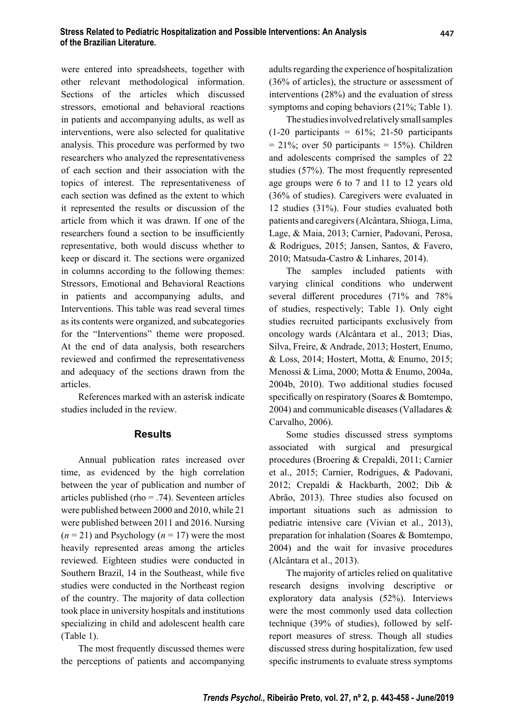were entered into spreadsheets, together with other relevant methodological information. Sections of the articles which discussed stressors, emotional and behavioral reactions in patients and accompanying adults, as well as interventions, were also selected for qualitative analysis. This procedure was performed by two researchers who analyzed the representativeness of each section and their association with the topics of interest. The representativeness of each section was defined as the extent to which it represented the results or discussion of the article from which it was drawn. If one of the researchers found a section to be insufficiently representative, both would discuss whether to keep or discard it. The sections were organized in columns according to the following themes: Stressors, Emotional and Behavioral Reactions in patients and accompanying adults, and Interventions. This table was read several times as its contents were organized, and subcategories for the "Interventions" theme were proposed. At the end of data analysis, both researchers reviewed and confirmed the representativeness and adequacy of the sections drawn from the articles.

References marked with an asterisk indicate studies included in the review.

#### **Results**

Annual publication rates increased over time, as evidenced by the high correlation between the year of publication and number of articles published (rho = .74). Seventeen articles were published between 2000 and 2010, while 21 were published between 2011 and 2016. Nursing  $(n = 21)$  and Psychology  $(n = 17)$  were the most heavily represented areas among the articles reviewed. Eighteen studies were conducted in Southern Brazil, 14 in the Southeast, while five studies were conducted in the Northeast region of the country. The majority of data collection took place in university hospitals and institutions specializing in child and adolescent health care (Table 1).

The most frequently discussed themes were the perceptions of patients and accompanying adults regarding the experience of hospitalization (36% of articles), the structure or assessment of interventions (28%) and the evaluation of stress symptoms and coping behaviors (21%; Table 1).

The studies involved relatively small samples  $(1-20$  participants = 61%; 21-50 participants  $= 21\%$ ; over 50 participants  $= 15\%$ ). Children and adolescents comprised the samples of 22 studies (57%). The most frequently represented age groups were 6 to 7 and 11 to 12 years old (36% of studies). Caregivers were evaluated in 12 studies (31%). Four studies evaluated both patients and caregivers (Alcântara, Shioga, Lima, Lage, & Maia, 2013; Carnier, Padovani, Perosa, & Rodrigues, 2015; Jansen, Santos, & Favero, 2010; Matsuda-Castro & Linhares, 2014).

The samples included patients with varying clinical conditions who underwent several different procedures (71% and 78% of studies, respectively; Table 1). Only eight studies recruited participants exclusively from oncology wards (Alcântara et al., 2013; Dias, Silva, Freire, & Andrade, 2013; Hostert, Enumo, & Loss, 2014; Hostert, Motta, & Enumo, 2015; Menossi & Lima, 2000; Motta & Enumo, 2004a, 2004b, 2010). Two additional studies focused specifically on respiratory (Soares  $&$  Bomtempo, 2004) and communicable diseases (Valladares & Carvalho, 2006).

Some studies discussed stress symptoms associated with surgical and presurgical procedures (Broering & Crepaldi, 2011; Carnier et al., 2015; Carnier, Rodrigues, & Padovani, 2012; Crepaldi & Hackbarth, 2002; Dib & Abrão, 2013). Three studies also focused on important situations such as admission to pediatric intensive care (Vivian et al., 2013), preparation for inhalation (Soares & Bomtempo, 2004) and the wait for invasive procedures (Alcântara et al., 2013).

The majority of articles relied on qualitative research designs involving descriptive or exploratory data analysis (52%). Interviews were the most commonly used data collection technique (39% of studies), followed by selfreport measures of stress. Though all studies discussed stress during hospitalization, few used specific instruments to evaluate stress symptoms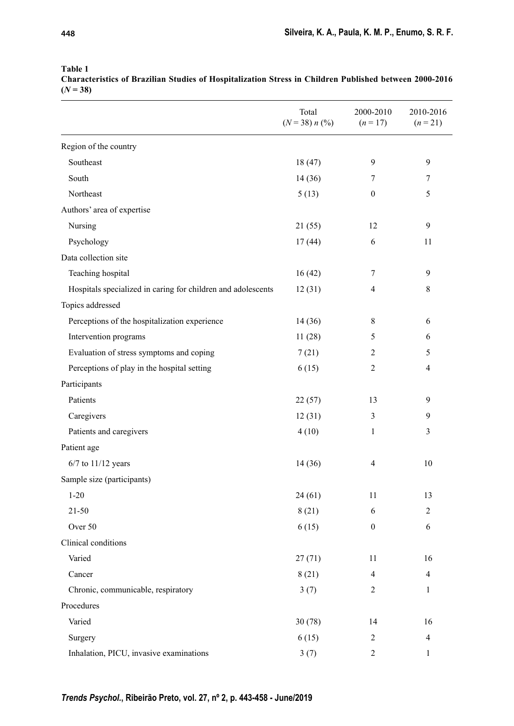|                                                              | Total<br>$(N = 38) n$ (%) | 2000-2010<br>$(n = 17)$ | 2010-2016<br>$(n = 21)$ |
|--------------------------------------------------------------|---------------------------|-------------------------|-------------------------|
| Region of the country                                        |                           |                         |                         |
| Southeast                                                    | 18(47)                    | 9                       | 9                       |
| South                                                        | 14(36)                    | 7                       | 7                       |
| Northeast                                                    | 5(13)                     | $\boldsymbol{0}$        | 5                       |
| Authors' area of expertise                                   |                           |                         |                         |
| Nursing                                                      | 21(55)                    | 12                      | 9                       |
| Psychology                                                   | 17(44)                    | 6                       | 11                      |
| Data collection site                                         |                           |                         |                         |
| Teaching hospital                                            | 16(42)                    | 7                       | 9                       |
| Hospitals specialized in caring for children and adolescents | 12(31)                    | $\overline{4}$          | $\,$ 8 $\,$             |
| Topics addressed                                             |                           |                         |                         |
| Perceptions of the hospitalization experience                | 14(36)                    | 8                       | 6                       |
| Intervention programs                                        | 11(28)                    | 5                       | 6                       |
| Evaluation of stress symptoms and coping                     | 7(21)                     | $\overline{2}$          | 5                       |
| Perceptions of play in the hospital setting                  | 6(15)                     | $\overline{c}$          | $\overline{\mathbf{4}}$ |
| Participants                                                 |                           |                         |                         |
| Patients                                                     | 22(57)                    | 13                      | 9                       |
| Caregivers                                                   | 12(31)                    | 3                       | 9                       |
| Patients and caregivers                                      | 4(10)                     | 1                       | 3                       |
| Patient age                                                  |                           |                         |                         |
| $6/7$ to $11/12$ years                                       | 14 (36)                   | 4                       | 10                      |
| Sample size (participants)                                   |                           |                         |                         |
| $1 - 20$                                                     | 24(61)                    | 11                      | 13                      |
| $21 - 50$                                                    | 8(21)                     | 6                       | $\boldsymbol{2}$        |
| Over 50                                                      | 6(15)                     | $\boldsymbol{0}$        | 6                       |
| Clinical conditions                                          |                           |                         |                         |
| Varied                                                       | 27(71)                    | 11                      | 16                      |
| Cancer                                                       | 8(21)                     | 4                       | $\overline{4}$          |
| Chronic, communicable, respiratory                           | 3(7)                      | 2                       | 1                       |
| Procedures                                                   |                           |                         |                         |
| Varied                                                       | 30(78)                    | 14                      | 16                      |
| Surgery                                                      | 6(15)                     | $\overline{c}$          | $\overline{4}$          |
| Inhalation, PICU, invasive examinations                      | 3(7)                      | $\mathfrak{2}$          | $\mathbf{1}$            |

**Table 1 Characteristics of Brazilian Studies of Hospitalization Stress in Children Published between 2000-2016**   $(N = 38)$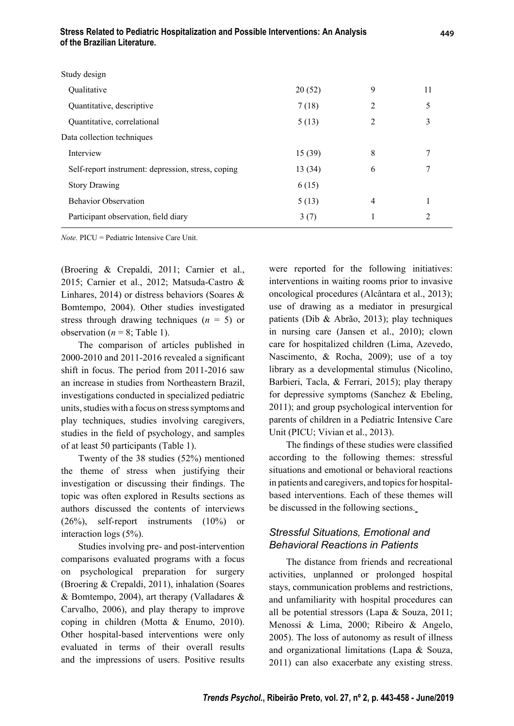| Stress Related to Pediatric Hospitalization and Possible Interventions: An Analysis |
|-------------------------------------------------------------------------------------|
| of the Brazilian Literature.                                                        |

| Study design                                       |         |   |    |
|----------------------------------------------------|---------|---|----|
| Qualitative                                        | 20(52)  | 9 | 11 |
| Quantitative, descriptive                          | 7(18)   | 2 | 5  |
| Quantitative, correlational                        | 5(13)   | 2 | 3  |
| Data collection techniques                         |         |   |    |
| Interview                                          | 15(39)  | 8 | 7  |
| Self-report instrument: depression, stress, coping | 13 (34) | 6 | 7  |
| <b>Story Drawing</b>                               | 6(15)   |   |    |
| <b>Behavior Observation</b>                        | 5(13)   | 4 |    |
| Participant observation, field diary               | 3(7)    |   | 2  |
|                                                    |         |   |    |

*Note.* PICU = Pediatric Intensive Care Unit.

(Broering & Crepaldi, 2011; Carnier et al., 2015; Carnier et al., 2012; Matsuda-Castro & Linhares, 2014) or distress behaviors (Soares & Bomtempo, 2004). Other studies investigated stress through drawing techniques (*n* = 5) or observation ( $n = 8$ ; Table 1).

The comparison of articles published in  $2000-2010$  and  $2011-2016$  revealed a significant shift in focus. The period from 2011-2016 saw an increase in studies from Northeastern Brazil, investigations conducted in specialized pediatric units, studies with a focus on stress symptoms and play techniques, studies involving caregivers, studies in the field of psychology, and samples of at least 50 participants (Table 1).

Twenty of the 38 studies (52%) mentioned the theme of stress when justifying their investigation or discussing their findings. The topic was often explored in Results sections as authors discussed the contents of interviews (26%), self-report instruments (10%) or interaction logs (5%).

Studies involving pre- and post-intervention comparisons evaluated programs with a focus on psychological preparation for surgery (Broering & Crepaldi, 2011), inhalation (Soares & Bomtempo, 2004), art therapy (Valladares & Carvalho, 2006), and play therapy to improve coping in children (Motta & Enumo, 2010). Other hospital-based interventions were only evaluated in terms of their overall results and the impressions of users. Positive results were reported for the following initiatives: interventions in waiting rooms prior to invasive oncological procedures (Alcântara et al., 2013); use of drawing as a mediator in presurgical patients (Dib & Abrão, 2013); play techniques in nursing care (Jansen et al., 2010); clown care for hospitalized children (Lima, Azevedo, Nascimento, & Rocha, 2009); use of a toy library as a developmental stimulus (Nicolino, Barbieri, Tacla, & Ferrari, 2015); play therapy for depressive symptoms (Sanchez & Ebeling, 2011); and group psychological intervention for parents of children in a Pediatric Intensive Care Unit (PICU; Vivian et al., 2013).

The findings of these studies were classified according to the following themes: stressful situations and emotional or behavioral reactions in patients and caregivers, and topics for hospitalbased interventions. Each of these themes will be discussed in the following sections.

## *Stressful Situations, Emotional and Behavioral Reactions in Patients*

The distance from friends and recreational activities, unplanned or prolonged hospital stays, communication problems and restrictions, and unfamiliarity with hospital procedures can all be potential stressors (Lapa & Souza, 2011; Menossi & Lima, 2000; Ribeiro & Angelo, 2005). The loss of autonomy as result of illness and organizational limitations (Lapa & Souza, 2011) can also exacerbate any existing stress.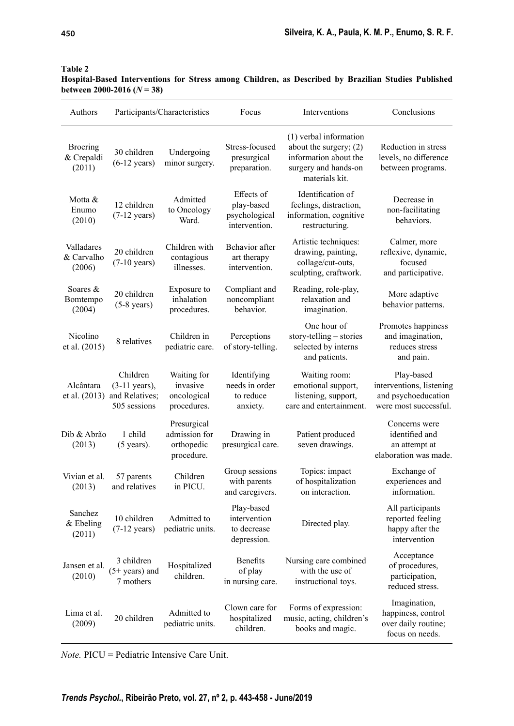| Authors                                 |                                                                       | Participants/Characteristics                             | Focus                                                      | Interventions                                                                                                         | Conclusions                                                                            |
|-----------------------------------------|-----------------------------------------------------------------------|----------------------------------------------------------|------------------------------------------------------------|-----------------------------------------------------------------------------------------------------------------------|----------------------------------------------------------------------------------------|
| <b>Broering</b><br>& Crepaldi<br>(2011) | 30 children<br>$(6-12 \text{ years})$                                 | Undergoing<br>minor surgery.                             | Stress-focused<br>presurgical<br>preparation.              | (1) verbal information<br>about the surgery; $(2)$<br>information about the<br>surgery and hands-on<br>materials kit. | Reduction in stress<br>levels, no difference<br>between programs.                      |
| Motta &<br>Enumo<br>(2010)              | 12 children<br>$(7-12 \text{ years})$                                 | Admitted<br>to Oncology<br>Ward.                         | Effects of<br>play-based<br>psychological<br>intervention. | Identification of<br>feelings, distraction,<br>information, cognitive<br>restructuring.                               | Decrease in<br>non-facilitating<br>behaviors.                                          |
| Valladares<br>& Carvalho<br>(2006)      | 20 children<br>$(7-10 \text{ years})$                                 | Children with<br>contagious<br>illnesses.                | Behavior after<br>art therapy<br>intervention.             | Artistic techniques:<br>drawing, painting,<br>collage/cut-outs,<br>sculpting, craftwork.                              | Calmer, more<br>reflexive, dynamic,<br>focused<br>and participative.                   |
| Soares &<br>Bomtempo<br>(2004)          | 20 children<br>$(5-8 \text{ years})$                                  | Exposure to<br>inhalation<br>procedures.                 | Compliant and<br>noncompliant<br>behavior.                 | Reading, role-play,<br>relaxation and<br>imagination.                                                                 | More adaptive<br>behavior patterns.                                                    |
| Nicolino<br>et al. (2015)               | 8 relatives                                                           | Children in<br>pediatric care.                           | Perceptions<br>of story-telling.                           | One hour of<br>story-telling - stories<br>selected by interns<br>and patients.                                        | Promotes happiness<br>and imagination,<br>reduces stress<br>and pain.                  |
| Alcântara<br>et al. (2013)              | Children<br>$(3-11 \text{ years}),$<br>and Relatives;<br>505 sessions | Waiting for<br>invasive<br>oncological<br>procedures.    | Identifying<br>needs in order<br>to reduce<br>anxiety.     | Waiting room:<br>emotional support,<br>listening, support,<br>care and entertainment.                                 | Play-based<br>interventions, listening<br>and psychoeducation<br>were most successful. |
| Dib & Abrão<br>(2013)                   | 1 child<br>$(5 \text{ years})$ .                                      | Presurgical<br>admission for<br>orthopedic<br>procedure. | Drawing in<br>presurgical care.                            | Patient produced<br>seven drawings.                                                                                   | Concerns were<br>identified and<br>an attempt at<br>elaboration was made.              |
| Vivian et al.<br>(2013)                 | 57 parents<br>and relatives                                           | Children<br>in PICU.                                     | Group sessions<br>with parents<br>and caregivers.          | Topics: impact<br>of hospitalization<br>on interaction.                                                               | Exchange of<br>experiences and<br>information.                                         |
| Sanchez<br>$&$ Ebeling<br>(2011)        | 10 children<br>$(7-12 \text{ years})$                                 | Admitted to<br>pediatric units.                          | Play-based<br>intervention<br>to decrease<br>depression.   | Directed play.                                                                                                        | All participants<br>reported feeling<br>happy after the<br>intervention                |
| Jansen et al.<br>(2010)                 | 3 children<br>$(5+ \text{years})$ and<br>7 mothers                    | Hospitalized<br>children.                                | <b>Benefits</b><br>of play<br>in nursing care.             | Nursing care combined<br>with the use of<br>instructional toys.                                                       | Acceptance<br>of procedures,<br>participation,<br>reduced stress.                      |
| Lima et al.<br>(2009)                   | 20 children                                                           | Admitted to<br>pediatric units.                          | Clown care for<br>hospitalized<br>children.                | Forms of expression:<br>music, acting, children's<br>books and magic.                                                 | Imagination,<br>happiness, control<br>over daily routine;<br>focus on needs.           |

**Table 2**

**Hospital-Based Interventions for Stress among Children, as Described by Brazilian Studies Published between 2000-2016**  $(N = 38)$ 

*Note.* PICU = Pediatric Intensive Care Unit.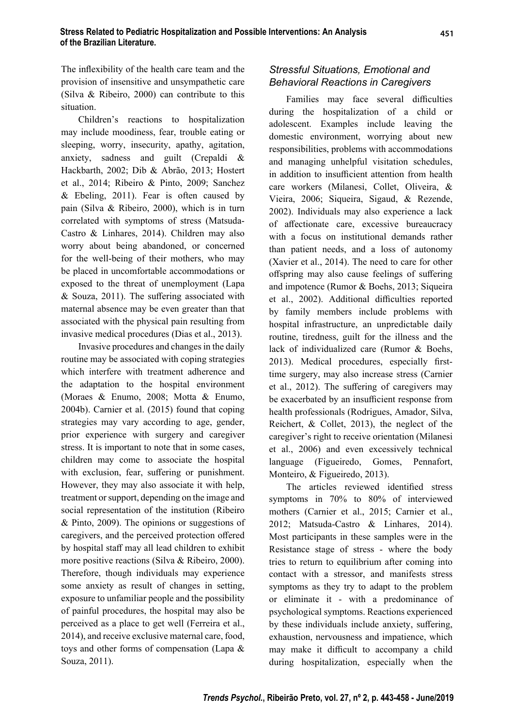The inflexibility of the health care team and the provision of insensitive and unsympathetic care (Silva & Ribeiro, 2000) can contribute to this situation.

Children's reactions to hospitalization may include moodiness, fear, trouble eating or sleeping, worry, insecurity, apathy, agitation, anxiety, sadness and guilt (Crepaldi & Hackbarth, 2002; Dib & Abrão, 2013; Hostert et al., 2014; Ribeiro & Pinto, 2009; Sanchez  $&$  Ebeling, 2011). Fear is often caused by pain (Silva & Ribeiro, 2000), which is in turn correlated with symptoms of stress (Matsuda-Castro & Linhares, 2014). Children may also worry about being abandoned, or concerned for the well-being of their mothers, who may be placed in uncomfortable accommodations or exposed to the threat of unemployment (Lapa  $& Souza, 2011$ ). The suffering associated with maternal absence may be even greater than that associated with the physical pain resulting from invasive medical procedures (Dias et al., 2013).

Invasive procedures and changes in the daily routine may be associated with coping strategies which interfere with treatment adherence and the adaptation to the hospital environment (Moraes & Enumo, 2008; Motta & Enumo, 2004b). Carnier et al. (2015) found that coping strategies may vary according to age, gender, prior experience with surgery and caregiver stress. It is important to note that in some cases, children may come to associate the hospital with exclusion, fear, suffering or punishment. However, they may also associate it with help, treatment or support, depending on the image and social representation of the institution (Ribeiro & Pinto, 2009). The opinions or suggestions of caregivers, and the perceived protection offered by hospital staff may all lead children to exhibit more positive reactions (Silva & Ribeiro, 2000). Therefore, though individuals may experience some anxiety as result of changes in setting, exposure to unfamiliar people and the possibility of painful procedures, the hospital may also be perceived as a place to get well (Ferreira et al., 2014), and receive exclusive maternal care, food, toys and other forms of compensation (Lapa & Souza, 2011).

## *Stressful Situations, Emotional and Behavioral Reactions in Caregivers*

Families may face several difficulties during the hospitalization of a child or adolescent. Examples include leaving the domestic environment, worrying about new responsibilities, problems with accommodations and managing unhelpful visitation schedules, in addition to insufficient attention from health care workers (Milanesi, Collet, Oliveira, & Vieira, 2006; Siqueira, Sigaud, & Rezende, 2002). Individuals may also experience a lack of affectionate care, excessive bureaucracy with a focus on institutional demands rather than patient needs, and a loss of autonomy (Xavier et al., 2014). The need to care for other offspring may also cause feelings of suffering and impotence (Rumor & Boehs, 2013; Siqueira et al., 2002). Additional difficulties reported by family members include problems with hospital infrastructure, an unpredictable daily routine, tiredness, guilt for the illness and the lack of individualized care (Rumor & Boehs, 2013). Medical procedures, especially firsttime surgery, may also increase stress (Carnier et al., 2012). The suffering of caregivers may be exacerbated by an insufficient response from health professionals (Rodrigues, Amador, Silva, Reichert, & Collet, 2013), the neglect of the caregiver's right to receive orientation (Milanesi et al., 2006) and even excessively technical language (Figueiredo, Gomes, Pennafort, Monteiro, & Figueiredo, 2013).

The articles reviewed identified stress symptoms in 70% to 80% of interviewed mothers (Carnier et al., 2015; Carnier et al., 2012; Matsuda-Castro & Linhares, 2014). Most participants in these samples were in the Resistance stage of stress - where the body tries to return to equilibrium after coming into contact with a stressor, and manifests stress symptoms as they try to adapt to the problem or eliminate it - with a predominance of psychological symptoms. Reactions experienced by these individuals include anxiety, suffering, exhaustion, nervousness and impatience, which may make it difficult to accompany a child during hospitalization, especially when the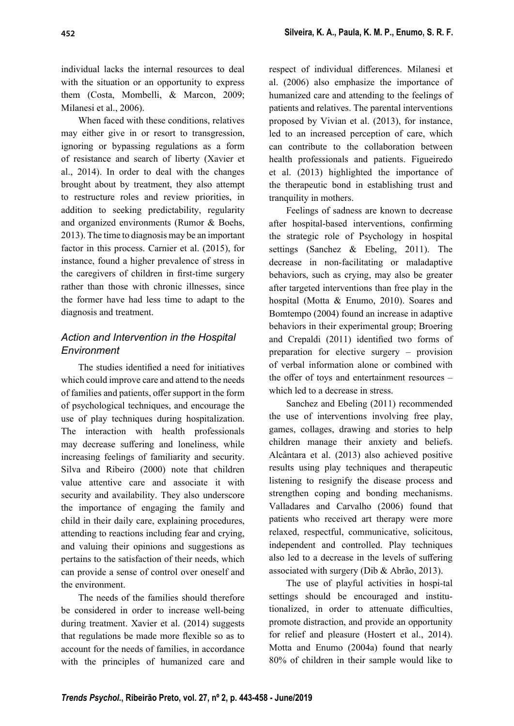individual lacks the internal resources to deal with the situation or an opportunity to express them (Costa, Mombelli, & Marcon, 2009; Milanesi et al., 2006).

When faced with these conditions, relatives may either give in or resort to transgression, ignoring or bypassing regulations as a form of resistance and search of liberty (Xavier et al., 2014). In order to deal with the changes brought about by treatment, they also attempt to restructure roles and review priorities, in addition to seeking predictability, regularity and organized environments (Rumor & Boehs, 2013). The time to diagnosis may be an important factor in this process. Carnier et al. (2015), for instance, found a higher prevalence of stress in the caregivers of children in first-time surgery rather than those with chronic illnesses, since the former have had less time to adapt to the diagnosis and treatment.

## *Action and Intervention in the Hospital Environment*

The studies identified a need for initiatives which could improve care and attend to the needs of families and patients, offer support in the form of psychological techniques, and encourage the use of play techniques during hospitalization. The interaction with health professionals may decrease suffering and loneliness, while increasing feelings of familiarity and security. Silva and Ribeiro (2000) note that children value attentive care and associate it with security and availability. They also underscore the importance of engaging the family and child in their daily care, explaining procedures, attending to reactions including fear and crying, and valuing their opinions and suggestions as pertains to the satisfaction of their needs, which can provide a sense of control over oneself and the environment.

The needs of the families should therefore be considered in order to increase well-being during treatment. Xavier et al. (2014) suggests that regulations be made more flexible so as to account for the needs of families, in accordance with the principles of humanized care and

respect of individual differences. Milanesi et al. (2006) also emphasize the importance of humanized care and attending to the feelings of patients and relatives. The parental interventions proposed by Vivian et al. (2013), for instance, led to an increased perception of care, which can contribute to the collaboration between health professionals and patients. Figueiredo et al. (2013) highlighted the importance of the therapeutic bond in establishing trust and tranquility in mothers.

Feelings of sadness are known to decrease after hospital-based interventions, confirming the strategic role of Psychology in hospital settings (Sanchez & Ebeling, 2011). The decrease in non-facilitating or maladaptive behaviors, such as crying, may also be greater after targeted interventions than free play in the hospital (Motta & Enumo, 2010). Soares and Bomtempo (2004) found an increase in adaptive behaviors in their experimental group; Broering and Crepaldi (2011) identified two forms of preparation for elective surgery – provision of verbal information alone or combined with the offer of toys and entertainment resources  $$ which led to a decrease in stress.

Sanchez and Ebeling (2011) recommended the use of interventions involving free play, games, collages, drawing and stories to help children manage their anxiety and beliefs. Alcântara et al. (2013) also achieved positive results using play techniques and therapeutic listening to resignify the disease process and strengthen coping and bonding mechanisms. Valladares and Carvalho (2006) found that patients who received art therapy were more relaxed, respectful, communicative, solicitous, independent and controlled. Play techniques also led to a decrease in the levels of suffering associated with surgery (Dib & Abrão, 2013).

The use of playful activities in hospi-tal settings should be encouraged and institutionalized, in order to attenuate difficulties, promote distraction, and provide an opportunity for relief and pleasure (Hostert et al., 2014). Motta and Enumo (2004a) found that nearly 80% of children in their sample would like to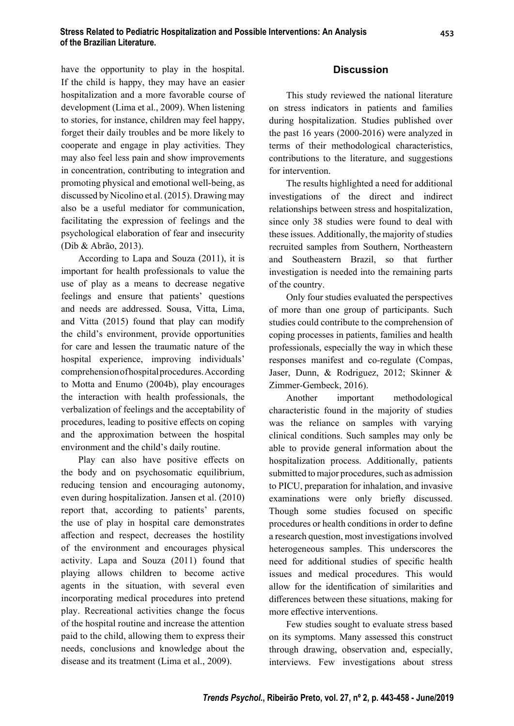have the opportunity to play in the hospital. If the child is happy, they may have an easier hospitalization and a more favorable course of development (Lima et al., 2009). When listening to stories, for instance, children may feel happy, forget their daily troubles and be more likely to cooperate and engage in play activities. They may also feel less pain and show improvements in concentration, contributing to integration and promoting physical and emotional well-being, as discussed by Nicolino et al. (2015). Drawing may also be a useful mediator for communication, facilitating the expression of feelings and the psychological elaboration of fear and insecurity (Dib & Abrão, 2013).

According to Lapa and Souza (2011), it is important for health professionals to value the use of play as a means to decrease negative feelings and ensure that patients' questions and needs are addressed. Sousa, Vitta, Lima, and Vitta (2015) found that play can modify the child's environment, provide opportunities for care and lessen the traumatic nature of the hospital experience, improving individuals' comprehension of hospital procedures. According to Motta and Enumo (2004b), play encourages the interaction with health professionals, the verbalization of feelings and the acceptability of procedures, leading to positive effects on coping and the approximation between the hospital environment and the child's daily routine.

Play can also have positive effects on the body and on psychosomatic equilibrium, reducing tension and encouraging autonomy, even during hospitalization. Jansen et al. (2010) report that, according to patients' parents, the use of play in hospital care demonstrates aff ection and respect, decreases the hostility of the environment and encourages physical activity. Lapa and Souza (2011) found that playing allows children to become active agents in the situation, with several even incorporating medical procedures into pretend play. Recreational activities change the focus of the hospital routine and increase the attention paid to the child, allowing them to express their needs, conclusions and knowledge about the disease and its treatment (Lima et al., 2009).

### **Discussion**

This study reviewed the national literature on stress indicators in patients and families during hospitalization. Studies published over the past 16 years (2000-2016) were analyzed in terms of their methodological characteristics, contributions to the literature, and suggestions for intervention.

The results highlighted a need for additional investigations of the direct and indirect relationships between stress and hospitalization, since only 38 studies were found to deal with these issues. Additionally, the majority of studies recruited samples from Southern, Northeastern and Southeastern Brazil, so that further investigation is needed into the remaining parts of the country.

Only four studies evaluated the perspectives of more than one group of participants. Such studies could contribute to the comprehension of coping processes in patients, families and health professionals, especially the way in which these responses manifest and co-regulate (Compas, Jaser, Dunn, & Rodriguez, 2012; Skinner & Zimmer-Gembeck, 2016).

Another important methodological characteristic found in the majority of studies was the reliance on samples with varying clinical conditions. Such samples may only be able to provide general information about the hospitalization process. Additionally, patients submitted to major procedures, such as admission to PICU, preparation for inhalation, and invasive examinations were only briefly discussed. Though some studies focused on specific procedures or health conditions in order to define a research question, most investigations involved heterogeneous samples. This underscores the need for additional studies of specific health issues and medical procedures. This would allow for the identification of similarities and differences between these situations, making for more effective interventions.

Few studies sought to evaluate stress based on its symptoms. Many assessed this construct through drawing, observation and, especially, interviews. Few investigations about stress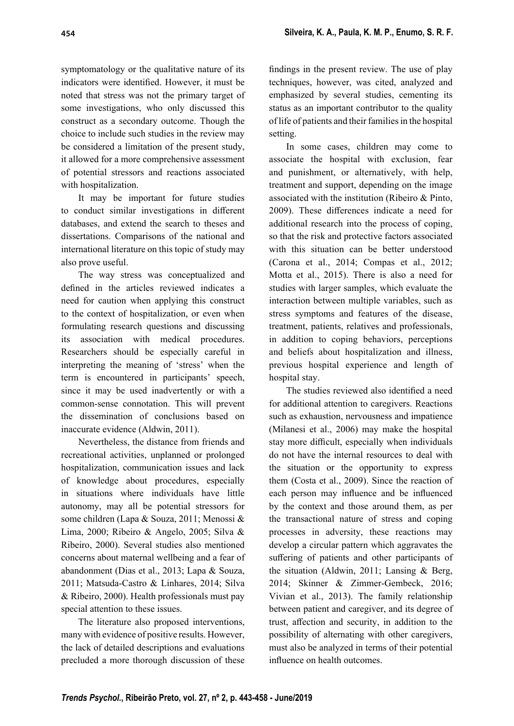symptomatology or the qualitative nature of its indicators were identified. However, it must be noted that stress was not the primary target of some investigations, who only discussed this construct as a secondary outcome. Though the choice to include such studies in the review may be considered a limitation of the present study, it allowed for a more comprehensive assessment of potential stressors and reactions associated with hospitalization.

It may be important for future studies to conduct similar investigations in different databases, and extend the search to theses and dissertations. Comparisons of the national and international literature on this topic of study may also prove useful.

The way stress was conceptualized and defined in the articles reviewed indicates a need for caution when applying this construct to the context of hospitalization, or even when formulating research questions and discussing its association with medical procedures. Researchers should be especially careful in interpreting the meaning of 'stress' when the term is encountered in participants' speech, since it may be used inadvertently or with a common-sense connotation. This will prevent the dissemination of conclusions based on inaccurate evidence (Aldwin, 2011).

Nevertheless, the distance from friends and recreational activities, unplanned or prolonged hospitalization, communication issues and lack of knowledge about procedures, especially in situations where individuals have little autonomy, may all be potential stressors for some children (Lapa & Souza, 2011; Menossi & Lima, 2000; Ribeiro & Angelo, 2005; Silva & Ribeiro, 2000). Several studies also mentioned concerns about maternal wellbeing and a fear of abandonment (Dias et al., 2013; Lapa & Souza, 2011; Matsuda-Castro & Linhares, 2014; Silva & Ribeiro, 2000). Health professionals must pay special attention to these issues.

The literature also proposed interventions, many with evidence of positive results. However, the lack of detailed descriptions and evaluations precluded a more thorough discussion of these

findings in the present review. The use of play techniques, however, was cited, analyzed and emphasized by several studies, cementing its status as an important contributor to the quality of life of patients and their families in the hospital setting.

In some cases, children may come to associate the hospital with exclusion, fear and punishment, or alternatively, with help, treatment and support, depending on the image associated with the institution (Ribeiro & Pinto, 2009). These differences indicate a need for additional research into the process of coping, so that the risk and protective factors associated with this situation can be better understood (Carona et al., 2014; Compas et al., 2012; Motta et al., 2015). There is also a need for studies with larger samples, which evaluate the interaction between multiple variables, such as stress symptoms and features of the disease, treatment, patients, relatives and professionals, in addition to coping behaviors, perceptions and beliefs about hospitalization and illness, previous hospital experience and length of hospital stay.

The studies reviewed also identified a need for additional attention to caregivers. Reactions such as exhaustion, nervousness and impatience (Milanesi et al., 2006) may make the hospital stay more difficult, especially when individuals do not have the internal resources to deal with the situation or the opportunity to express them (Costa et al., 2009). Since the reaction of each person may influence and be influenced by the context and those around them, as per the transactional nature of stress and coping processes in adversity, these reactions may develop a circular pattern which aggravates the suffering of patients and other participants of the situation (Aldwin, 2011; Lansing & Berg, 2014; Skinner & Zimmer-Gembeck, 2016; Vivian et al., 2013). The family relationship between patient and caregiver, and its degree of trust, affection and security, in addition to the possibility of alternating with other caregivers, must also be analyzed in terms of their potential influence on health outcomes.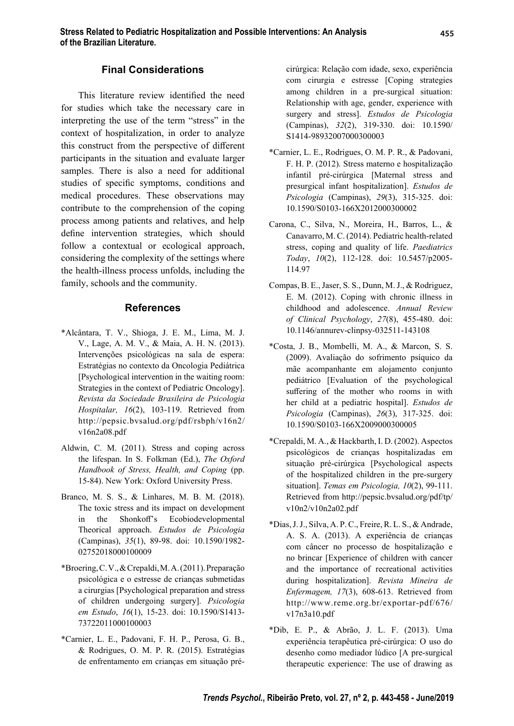#### **Final Considerations**

This literature review identified the need for studies which take the necessary care in interpreting the use of the term "stress" in the context of hospitalization, in order to analyze this construct from the perspective of different participants in the situation and evaluate larger samples. There is also a need for additional studies of specific symptoms, conditions and medical procedures. These observations may contribute to the comprehension of the coping process among patients and relatives, and help define intervention strategies, which should follow a contextual or ecological approach, considering the complexity of the settings where the health-illness process unfolds, including the family, schools and the community.

#### **References**

- \*Alcântara, T. V., Shioga, J. E. M., Lima, M. J. V., Lage, A. M. V., & Maia, A. H. N. (2013). Intervenções psicológicas na sala de espera: Estratégias no contexto da Oncologia Pediátrica [Psychological intervention in the waiting room: Strategies in the context of Pediatric Oncology]. *Revista da Sociedade Brasileira de Psicologia Hospitalar, 16*(2), 103-119. Retrieved from http://pepsic.bvsalud.org/pdf/rsbph/v16n2/ v16n2a08.pdf
- Aldwin, C. M. (2011). Stress and coping across the lifespan. In S. Folkman (Ed.), *The Oxford Handbook of Stress, Health, and Coping* (pp. 15-84). New York: Oxford University Press.
- Branco, M. S. S., & Linhares, M. B. M. (2018). The toxic stress and its impact on development in the Shonkoff's Ecobiodevelopmental Theorical approach. *Estudos de Psicologia*  (Campinas), *35*(1), 89-98. doi: 10.1590/1982- 02752018000100009
- \*Broering, C. V., & Crepaldi, M. A. (2011). Preparação psicológica e o estresse de crianças submetidas a cirurgias [Psychological preparation and stress of children undergoing surgery]. *Psicologia em Estudo*, *16*(1), 15-23. doi: 10.1590/S1413- 73722011000100003
- \*Carnier, L. E., Padovani, F. H. P., Perosa, G. B., & Rodrigues, O. M. P. R. (2015). Estratégias de enfrentamento em crianças em situação pré-

cirúrgica: Relação com idade, sexo, experiência com cirurgia e estresse [Coping strategies among children in a pre-surgical situation: Relationship with age, gender, experience with surgery and stress]. *Estudos de Psicologia*  (Campinas), *32*(2), 319-330. doi: 10.1590/ S1414-98932007000300003

- \*Carnier, L. E., Rodrigues, O. M. P. R., & Padovani, F. H. P. (2012). Stress materno e hospitalização infantil pré-cirúrgica [Maternal stress and presurgical infant hospitalization]. *Estudos de Psicologia* (Campinas), *29*(3), 315-325. doi: 10.1590/S0103-166X2012000300002
- Carona, C., Silva, N., Moreira, H., Barros, L., & Canavarro, M. C. (2014). Pediatric health-related stress, coping and quality of life. *Paediatrics Today*, *10*(2), 112-128. doi: 10.5457/p2005- 114.97
- Compas, B. E., Jaser, S. S., Dunn, M. J., & Rodriguez, E. M. (2012). Coping with chronic illness in childhood and adolescence. *Annual Review of Clinical Psychology*, *27*(8), 455-480. doi: 10.1146/annurev-clinpsy-032511-143108
- \*Costa, J. B., Mombelli, M. A., & Marcon, S. S. (2009). Avaliação do sofrimento psíquico da mãe acompanhante em alojamento conjunto pediátrico [Evaluation of the psychological suffering of the mother who rooms in with her child at a pediatric hospital]. *Estudos de Psicologia* (Campinas), *26*(3), 317-325. doi: 10.1590/S0103-166X2009000300005
- \*Crepaldi, M. A., & Hackbarth, I. D. (2002). Aspectos psicológicos de crianças hospitalizadas em situação pré-cirúrgica [Psychological aspects of the hospitalized children in the pre-surgery situation]. *Temas em Psicologia, 10*(2), 99-111. Retrieved from http://pepsic.bvsalud.org/pdf/tp/ v10n2/v10n2a02.pdf
- \*Dias, J. J., Silva, A. P. C., Freire, R. L. S., & Andrade, A. S. A. (2013). A experiência de crianças com câncer no processo de hospitalização e no brincar [Experience of children with cancer and the importance of recreational activities during hospitalization]. *Revista Mineira de Enfermagem, 17*(3), 608-613. Retrieved from http://www.reme.org.br/exportar-pdf/676/ v17n3a10.pdf
- \*Dib, E. P., & Abrão, J. L. F. (2013). Uma experiência terapêutica pré-cirúrgica: O uso do desenho como mediador lúdico [A pre-surgical therapeutic experience: The use of drawing as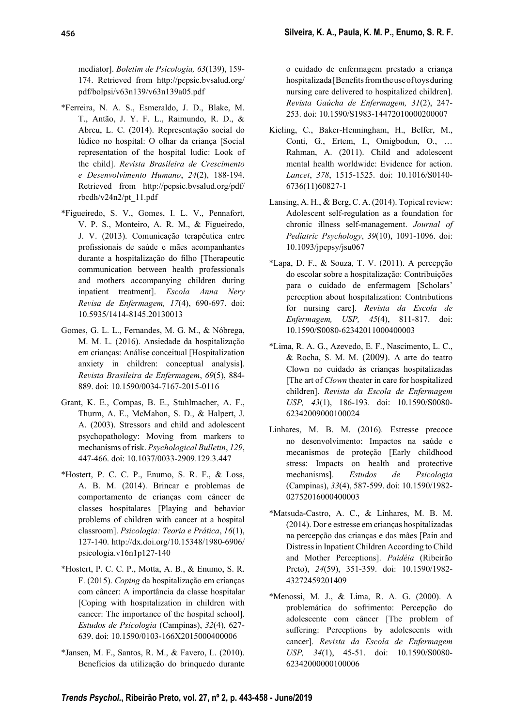mediator]. *Boletim de Psicologia, 63*(139), 159- 174. Retrieved from http://pepsic.bvsalud.org/ pdf/bolpsi/v63n139/v63n139a05.pdf

- \*Ferreira, N. A. S., Esmeraldo, J. D., Blake, M. T., Antão, J. Y. F. L., Raimundo, R. D., & Abreu, L. C. (2014). Representação social do lúdico no hospital: O olhar da criança [Social representation of the hospital ludic: Look of the child]. *Revista Brasileira de Crescimento e Desenvolvimento Humano*, *24*(2), 188-194. Retrieved from http://pepsic.bvsalud.org/pdf/ rbcdh/v24n2/pt\_11.pdf
- \*Figueiredo, S. V., Gomes, I. L. V., Pennafort, V. P. S., Monteiro, A. R. M., & Figueiredo, J. V. (2013). Comunicação terapêutica entre profissionais de saúde e mães acompanhantes durante a hospitalização do filho [Therapeutic communication between health professionals and mothers accompanying children during inpatient treatment]. *Escola Anna Nery Revisa de Enfermagem, 17*(4), 690-697. doi: 10.5935/1414-8145.20130013
- Gomes, G. L. L., Fernandes, M. G. M., & Nóbrega, M. M. L. (2016). Ansiedade da hospitalização em crianças: Análise conceitual [Hospitalization anxiety in children: conceptual analysis]. *Revista Brasileira de Enfermagem*, *69*(5), 884- 889. doi: 10.1590/0034-7167-2015-0116
- Grant, K. E., Compas, B. E., Stuhlmacher, A. F., Thurm, A. E., McMahon, S. D., & Halpert, J. A. (2003). Stressors and child and adolescent psychopathology: Moving from markers to mechanisms of risk. *Psychological Bulletin*, *129*, 447-466. doi: 10.1037/0033-2909.129.3.447
- \*Hostert, P. C. C. P., Enumo, S. R. F., & Loss, A. B. M. (2014). Brincar e problemas de comportamento de crianças com câncer de classes hospitalares [Playing and behavior problems of children with cancer at a hospital classroom]. *Psicologia: Teoria e Prática*, *16*(1), 127-140. http://dx.doi.org/10.15348/1980-6906/ psicologia.v16n1p127-140
- \*Hostert, P. C. C. P., Motta, A. B., & Enumo, S. R. F. (2015). *Coping* da hospitalização em crianças com câncer: A importância da classe hospitalar [Coping with hospitalization in children with cancer: The importance of the hospital school]. *Estudos de Psicologia* (Campinas), *32*(4), 627- 639. doi: 10.1590/0103-166X2015000400006
- \*Jansen, M. F., Santos, R. M., & Favero, L. (2010). Benefícios da utilização do brinquedo durante

o cuidado de enfermagem prestado a criança hospitalizada [Benefits from the use of toys during nursing care delivered to hospitalized children]. *Revista Gaúcha de Enfermagem, 31*(2), 247- 253. doi: 10.1590/S1983-14472010000200007

- Kieling, C., Baker-Henningham, H., Belfer, M., Conti, G., Ertem, I., Omigbodun, O., … Rahman, A. (2011). Child and adolescent mental health worldwide: Evidence for action. *Lancet*, *378*, 1515-1525. doi: 10.1016/S0140- 6736(11)60827-1
- Lansing, A. H., & Berg, C. A. (2014). Topical review: Adolescent self-regulation as a foundation for chronic illness self-management. *Journal of Pediatric Psychology*, *39*(10), 1091-1096. doi: 10.1093/jpepsy/jsu067
- \*Lapa, D. F., & Souza, T. V. (2011). A percepção do escolar sobre a hospitalização: Contribuições para o cuidado de enfermagem [Scholars' perception about hospitalization: Contributions for nursing care]. *Revista da Escola de Enfermagem, USP, 45*(4), 811-817. doi: 10.1590/S0080-62342011000400003
- \*Lima, R. A. G., Azevedo, E. F., Nascimento, L. C., & Rocha, S. M. M. (2009). A arte do teatro Clown no cuidado às crianças hospitalizadas [The art of *Clown* theater in care for hospitalized children]. *Revista da Escola de Enfermagem USP, 43*(1), 186-193. doi: 10.1590/S0080- 62342009000100024
- Linhares, M. B. M. (2016). Estresse precoce no desenvolvimento: Impactos na saúde e mecanismos de proteção [Early childhood stress: Impacts on health and protective mechanisms]. *Estudos de Psicologia*  (Campinas), *33*(4), 587-599. doi: 10.1590/1982- 02752016000400003
- \*Matsuda-Castro, A. C., & Linhares, M. B. M. (2014). Dor e estresse em crianças hospitalizadas na percepção das crianças e das mães [Pain and Distress in Inpatient Children According to Child and Mother Perceptions]. *Paidéia* (Ribeirão Preto), *24*(59), 351-359. doi: 10.1590/1982- 43272459201409
- \*Menossi, M. J., & Lima, R. A. G. (2000). A problemática do sofrimento: Percepção do adolescente com câncer [The problem of suffering: Perceptions by adolescents with cancer]. *Revista da Escola de Enfermagem USP, 34*(1), 45-51. doi: 10.1590/S0080- 62342000000100006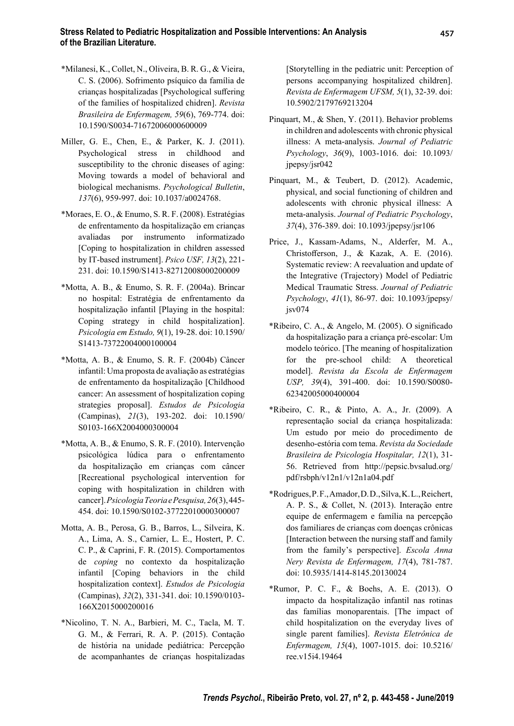- \*Milanesi, K., Collet, N., Oliveira, B. R. G., & Vieira, C. S. (2006). Sofrimento psíquico da família de crianças hospitalizadas [Psychological suffering of the families of hospitalized chidren]. *Revista Brasileira de Enfermagem, 59*(6), 769-774. doi: 10.1590/S0034-71672006000600009
- Miller, G. E., Chen, E., & Parker, K. J. (2011). Psychological stress in childhood and susceptibility to the chronic diseases of aging: Moving towards a model of behavioral and biological mechanisms. *Psychological Bulletin*, *137*(6), 959-997. doi: 10.1037/a0024768.
- \*Moraes, E. O., & Enumo, S. R. F. (2008). Estratégias de enfrentamento da hospitalização em crianças avaliadas por instrumento informatizado [Coping to hospitalization in children assessed by IT-based instrument]. *Psico USF, 13*(2), 221- 231. doi: 10.1590/S1413-82712008000200009
- \*Motta, A. B., & Enumo, S. R. F. (2004a). Brincar no hospital: Estratégia de enfrentamento da hospitalização infantil [Playing in the hospital: Coping strategy in child hospitalization]. *Psicologia em Estudo, 9*(1), 19-28. doi: 10.1590/ S1413-73722004000100004
- \*Motta, A. B., & Enumo, S. R. F. (2004b) Câncer infantil: Uma proposta de avaliação as estratégias de enfrentamento da hospitalização [Childhood cancer: An assessment of hospitalization coping strategies proposal]. *Estudos de Psicologia*  (Campinas), *21*(3), 193-202. doi: 10.1590/ S0103-166X2004000300004
- \*Motta, A. B., & Enumo, S. R. F. (2010). Intervenção psicológica lúdica para o enfrentamento da hospitalização em crianças com câncer [Recreational psychological intervention for coping with hospitalization in children with cancer]. *Psicologia Teoria e Pesquisa, 26*(3), 445- 454. doi: 10.1590/S0102-37722010000300007
- Motta, A. B., Perosa, G. B., Barros, L., Silveira, K. A., Lima, A. S., Carnier, L. E., Hostert, P. C. C. P., & Caprini, F. R. (2015). Comportamentos de *coping* no contexto da hospitalização infantil [Coping behaviors in the child hospitalization context]. *Estudos de Psicologia*  (Campinas), *32*(2), 331-341. doi: 10.1590/0103- 166X2015000200016
- \*Nicolino, T. N. A., Barbieri, M. C., Tacla, M. T. G. M., & Ferrari, R. A. P. (2015). Contação de história na unidade pediátrica: Percepção de acompanhantes de crianças hospitalizadas

[Storytelling in the pediatric unit: Perception of persons accompanying hospitalized children]. *Revista de Enfermagem UFSM, 5*(1), 32-39. doi: 10.5902/2179769213204

- Pinquart, M., & Shen, Y. (2011). Behavior problems in children and adolescents with chronic physical illness: A meta-analysis. *Journal of Pediatric Psychology*, *36*(9), 1003-1016. doi: 10.1093/ jpepsy/jsr042
- Pinquart, M., & Teubert, D. (2012). Academic, physical, and social functioning of children and adolescents with chronic physical illness: A meta-analysis. *Journal of Pediatric Psychology*, *37*(4), 376-389. doi: 10.1093/jpepsy/jsr106
- Price, J., Kassam-Adams, N., Alderfer, M. A., Christofferson, J., & Kazak, A. E. (2016). Systematic review: A reevaluation and update of the Integrative (Trajectory) Model of Pediatric Medical Traumatic Stress. *Journal of Pediatric Psychology*, *41*(1), 86-97. doi: 10.1093/jpepsy/  $i$ sv $074$
- \*Ribeiro, C. A.,  $&$  Angelo, M. (2005). O significado da hospitalização para a criança pré-escolar: Um modelo teórico. [The meaning of hospitalization for the pre-school child: A theoretical model]. *Revista da Escola de Enfermagem USP, 39*(4), 391-400. doi: 10.1590/S0080- 62342005000400004
- \*Ribeiro, C. R., & Pinto, A. A., Jr. (2009). A representação social da criança hospitalizada: Um estudo por meio do procedimento de desenho-estória com tema. *Revista da Sociedade Brasileira de Psicologia Hospitalar, 12*(1), 31- 56. Retrieved from http://pepsic.bvsalud.org/ pdf/rsbph/v12n1/v12n1a04.pdf
- \*Rodrigues, P. F., Amador, D. D., Silva, K. L., Reichert, A. P. S., & Collet, N. (2013). Interação entre equipe de enfermagem e família na percepção dos familiares de crianças com doenças crônicas [Interaction between the nursing staff and family from the family's perspective]. *Escola Anna Nery Revista de Enfermagem, 17*(4), 781-787. doi: 10.5935/1414-8145.20130024
- \*Rumor, P. C. F., & Boehs, A. E. (2013). O impacto da hospitalização infantil nas rotinas das famílias monoparentais. [The impact of child hospitalization on the everyday lives of single parent families]. *Revista Eletrônica de Enfermagem, 15*(4), 1007-1015. doi: 10.5216/ ree.v15i4.19464